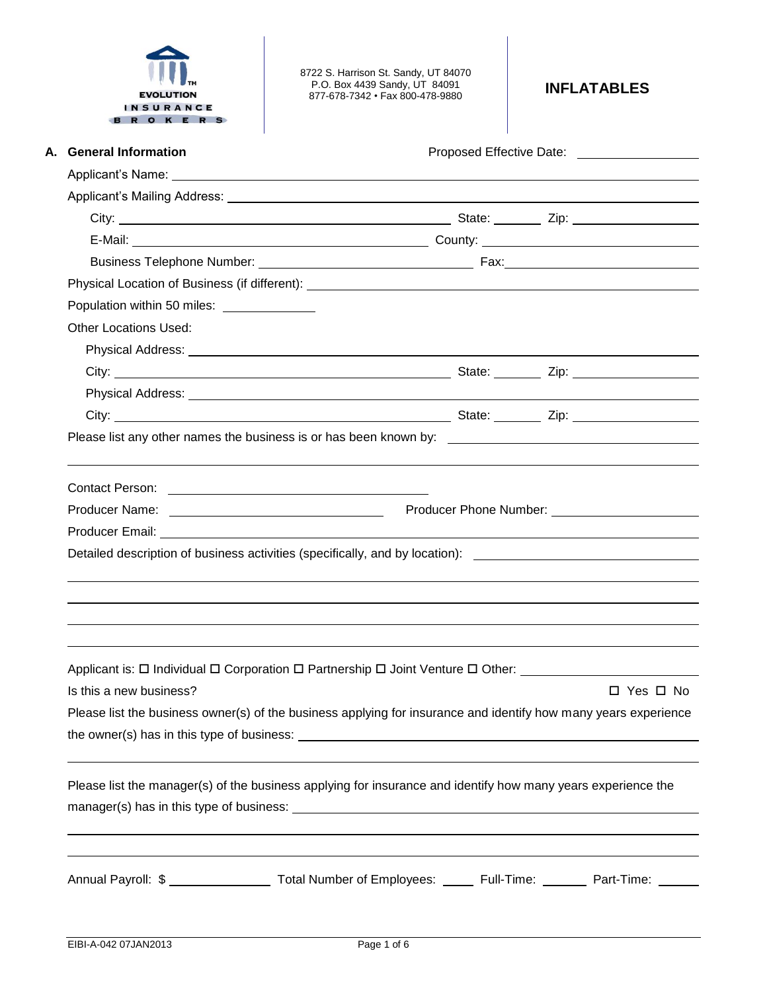|  | <b>EVOLUTION</b> |   |                  |  |
|--|------------------|---|------------------|--|
|  |                  |   | <b>INSURANCE</b> |  |
|  |                  | Е |                  |  |

8722 S. Harrison St. Sandy, UT 84070 P.O. Box 4439 Sandy, UT 84091 877-678-7342 • Fax 800-478-9880 **INFLATABLES**

| A. General Information       |                                            | Proposed Effective Date: ____________________                                                                                                                                                                                  |  |                      |  |
|------------------------------|--------------------------------------------|--------------------------------------------------------------------------------------------------------------------------------------------------------------------------------------------------------------------------------|--|----------------------|--|
|                              |                                            |                                                                                                                                                                                                                                |  |                      |  |
|                              |                                            |                                                                                                                                                                                                                                |  |                      |  |
|                              |                                            |                                                                                                                                                                                                                                |  |                      |  |
|                              |                                            |                                                                                                                                                                                                                                |  |                      |  |
|                              |                                            |                                                                                                                                                                                                                                |  |                      |  |
|                              |                                            |                                                                                                                                                                                                                                |  |                      |  |
|                              | Population within 50 miles: ______________ |                                                                                                                                                                                                                                |  |                      |  |
| <b>Other Locations Used:</b> |                                            |                                                                                                                                                                                                                                |  |                      |  |
|                              |                                            |                                                                                                                                                                                                                                |  |                      |  |
|                              |                                            |                                                                                                                                                                                                                                |  |                      |  |
|                              |                                            |                                                                                                                                                                                                                                |  |                      |  |
|                              |                                            |                                                                                                                                                                                                                                |  |                      |  |
|                              |                                            |                                                                                                                                                                                                                                |  |                      |  |
|                              |                                            |                                                                                                                                                                                                                                |  |                      |  |
|                              |                                            |                                                                                                                                                                                                                                |  |                      |  |
|                              |                                            |                                                                                                                                                                                                                                |  |                      |  |
|                              |                                            | Producer Name: Name: Name: Name Service Contract Contract Contract Contract Contract Contract Contract Contract Contract Contract Contract Contract Contract Contract Contract Contract Contract Contract Contract Contract Co |  |                      |  |
|                              |                                            |                                                                                                                                                                                                                                |  |                      |  |
|                              |                                            | Detailed description of business activities (specifically, and by location): ________________________________                                                                                                                  |  |                      |  |
|                              |                                            |                                                                                                                                                                                                                                |  |                      |  |
|                              |                                            |                                                                                                                                                                                                                                |  |                      |  |
|                              |                                            |                                                                                                                                                                                                                                |  |                      |  |
|                              |                                            |                                                                                                                                                                                                                                |  |                      |  |
|                              |                                            | Applicant is: $\Box$ Individual $\Box$ Corporation $\Box$ Partnership $\Box$ Joint Venture $\Box$ Other:                                                                                                                       |  |                      |  |
| Is this a new business?      |                                            |                                                                                                                                                                                                                                |  | $\Box$ Yes $\Box$ No |  |
|                              |                                            | Please list the business owner(s) of the business applying for insurance and identify how many years experience                                                                                                                |  |                      |  |
|                              |                                            |                                                                                                                                                                                                                                |  |                      |  |
|                              |                                            |                                                                                                                                                                                                                                |  |                      |  |
|                              |                                            | Please list the manager(s) of the business applying for insurance and identify how many years experience the                                                                                                                   |  |                      |  |
|                              |                                            |                                                                                                                                                                                                                                |  |                      |  |
|                              |                                            |                                                                                                                                                                                                                                |  |                      |  |
|                              |                                            | Annual Payroll: \$ ____________________ Total Number of Employees: ______ Full-Time: _______ Part-Time: ______                                                                                                                 |  |                      |  |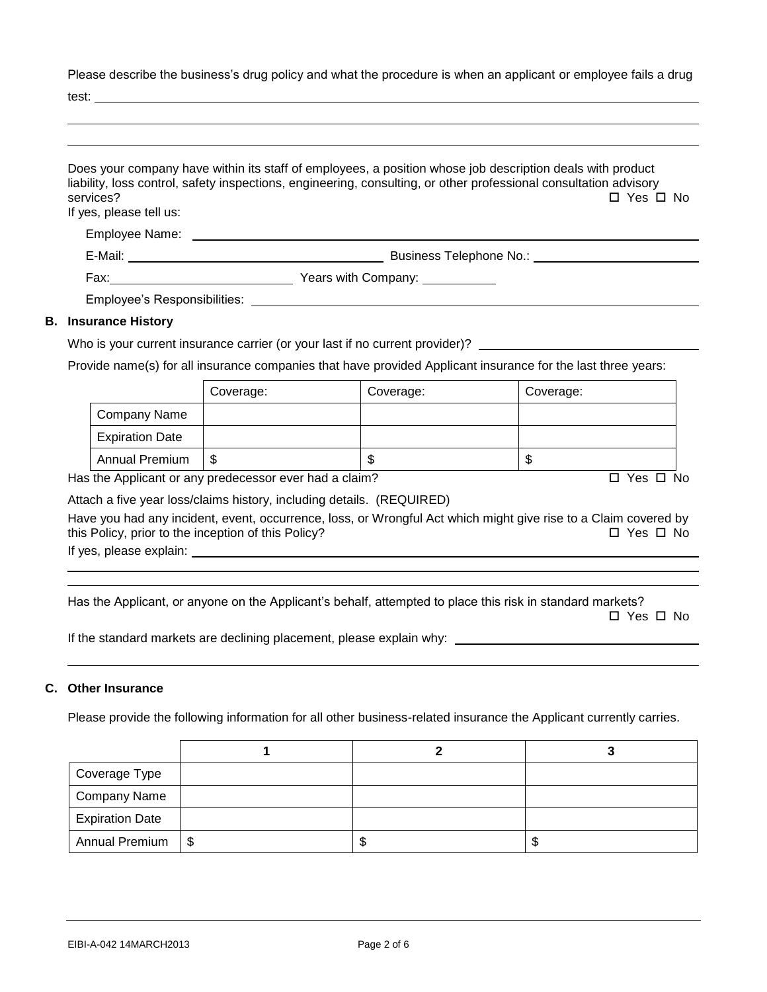Please describe the business's drug policy and what the procedure is when an applicant or employee fails a drug

test:

| services?<br>If yes, please tell us: | Does your company have within its staff of employees, a position whose job description deals with product<br>liability, loss control, safety inspections, engineering, consulting, or other professional consultation advisory<br>□ Yes □ No |
|--------------------------------------|----------------------------------------------------------------------------------------------------------------------------------------------------------------------------------------------------------------------------------------------|
| Employee Name:                       |                                                                                                                                                                                                                                              |
|                                      |                                                                                                                                                                                                                                              |
|                                      | Years with Company: ___________                                                                                                                                                                                                              |
|                                      | Employee's Responsibilities: Note that the set of the set of the set of the set of the set of the set of the set of the set of the set of the set of the set of the set of the set of the set of the set of the set of the set               |
| <b>Insurance History</b>             |                                                                                                                                                                                                                                              |

### **B. Insurance History**

Who is your current insurance carrier (or your last if no current provider)?

Provide name(s) for all insurance companies that have provided Applicant insurance for the last three years:

|                        | Coverage: | Coverage: | Coverage: |
|------------------------|-----------|-----------|-----------|
| Company Name           |           |           |           |
| <b>Expiration Date</b> |           |           |           |
| <b>Annual Premium</b>  | - \$      | ۰D        | œ<br>C    |

Has the Applicant or any predecessor ever had a claim?  $\Box$  Yes  $\Box$  No

Attach a five year loss/claims history, including details. (REQUIRED)

Have you had any incident, event, occurrence, loss, or Wrongful Act which might give rise to a Claim covered by this Policy, prior to the inception of this Policy?  $\Box$  Yes  $\Box$  No

If yes, please explain:

Has the Applicant, or anyone on the Applicant's behalf, attempted to place this risk in standard markets?

 $\square$  Yes  $\square$  No

If the standard markets are declining placement, please explain why:

## **C. Other Insurance**

Please provide the following information for all other business-related insurance the Applicant currently carries.

| Coverage Type          |    |    |
|------------------------|----|----|
| Company Name           |    |    |
| <b>Expiration Date</b> |    |    |
| Annual Premium   \$    | ъD | ۰D |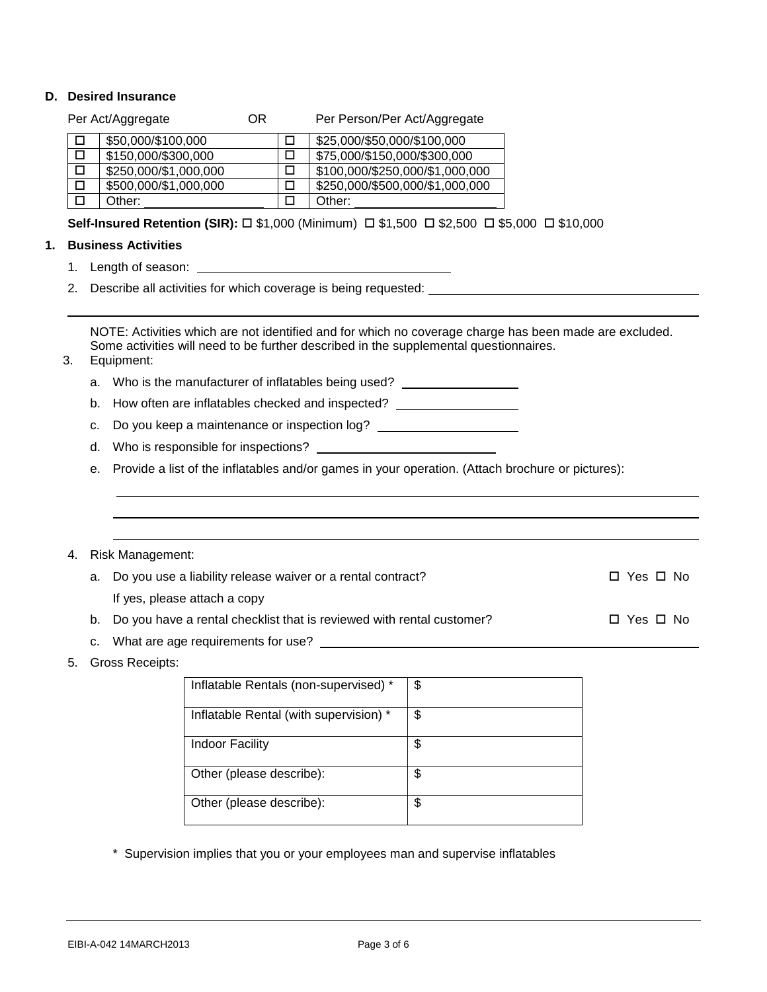## **D. Desired Insurance**

|    |                                                                                        |    | Desireu Ilisul dilue                                                                                   |     |                                       |                 |  |                      |
|----|----------------------------------------------------------------------------------------|----|--------------------------------------------------------------------------------------------------------|-----|---------------------------------------|-----------------|--|----------------------|
|    |                                                                                        |    | Per Act/Aggregate                                                                                      | OR. | Per Person/Per Act/Aggregate          |                 |  |                      |
|    | □                                                                                      |    | \$50,000/\$100,000                                                                                     |     | \$25,000/\$50,000/\$100,000<br>□      |                 |  |                      |
|    | □                                                                                      |    | \$150,000/\$300,000                                                                                    |     | \$75,000/\$150,000/\$300,000<br>□     |                 |  |                      |
|    | □                                                                                      |    | \$250,000/\$1,000,000                                                                                  |     | \$100,000/\$250,000/\$1,000,000<br>□  |                 |  |                      |
|    | □                                                                                      |    | \$500,000/\$1,000,000                                                                                  |     | \$250,000/\$500,000/\$1,000,000<br>□  |                 |  |                      |
|    | $\Box$                                                                                 |    | Other:                                                                                                 |     | □<br>Other:                           |                 |  |                      |
|    |                                                                                        |    | Self-Insured Retention (SIR): □ \$1,000 (Minimum) □ \$1,500 □ \$2,500 □ \$5,000 □ \$10,000             |     |                                       |                 |  |                      |
| 1. |                                                                                        |    | <b>Business Activities</b>                                                                             |     |                                       |                 |  |                      |
|    |                                                                                        |    |                                                                                                        |     |                                       |                 |  |                      |
|    | 2.                                                                                     |    | Describe all activities for which coverage is being requested:                                         |     |                                       |                 |  |                      |
|    |                                                                                        |    |                                                                                                        |     |                                       |                 |  |                      |
|    |                                                                                        |    | NOTE: Activities which are not identified and for which no coverage charge has been made are excluded. |     |                                       |                 |  |                      |
|    |                                                                                        |    | Some activities will need to be further described in the supplemental questionnaires.                  |     |                                       |                 |  |                      |
|    | 3.                                                                                     |    | Equipment:                                                                                             |     |                                       |                 |  |                      |
|    |                                                                                        |    | a.  Who is the manufacturer of inflatables being used?                                                 |     |                                       |                 |  |                      |
|    | b. How often are inflatables checked and inspected? ____________________________       |    |                                                                                                        |     |                                       |                 |  |                      |
|    | Do you keep a maintenance or inspection log? ___________________________________<br>C. |    |                                                                                                        |     |                                       |                 |  |                      |
|    |                                                                                        | d. |                                                                                                        |     |                                       |                 |  |                      |
|    |                                                                                        | е. | Provide a list of the inflatables and/or games in your operation. (Attach brochure or pictures):       |     |                                       |                 |  |                      |
|    |                                                                                        |    |                                                                                                        |     |                                       |                 |  |                      |
|    |                                                                                        |    |                                                                                                        |     |                                       |                 |  |                      |
|    |                                                                                        |    |                                                                                                        |     |                                       |                 |  |                      |
|    | 4.                                                                                     |    | <b>Risk Management:</b>                                                                                |     |                                       |                 |  |                      |
|    |                                                                                        |    | a. Do you use a liability release waiver or a rental contract?                                         |     |                                       |                 |  | $\Box$ Yes $\Box$ No |
|    |                                                                                        |    | If yes, please attach a copy                                                                           |     |                                       |                 |  |                      |
|    |                                                                                        |    | b. Do you have a rental checklist that is reviewed with rental customer?                               |     |                                       |                 |  | $\Box$ Yes $\Box$ No |
|    |                                                                                        |    |                                                                                                        |     |                                       |                 |  |                      |
|    | 5.                                                                                     |    | <b>Gross Receipts:</b>                                                                                 |     |                                       |                 |  |                      |
|    |                                                                                        |    |                                                                                                        |     | Inflatable Rentals (non-supervised) * | $\overline{\$}$ |  |                      |
|    |                                                                                        |    |                                                                                                        |     |                                       |                 |  |                      |

| milatable Rentals (non-supervised)     | Φ  |
|----------------------------------------|----|
| Inflatable Rental (with supervision) * | \$ |
| <b>Indoor Facility</b>                 | \$ |
| Other (please describe):               | \$ |
| Other (please describe):               | \$ |

\* Supervision implies that you or your employees man and supervise inflatables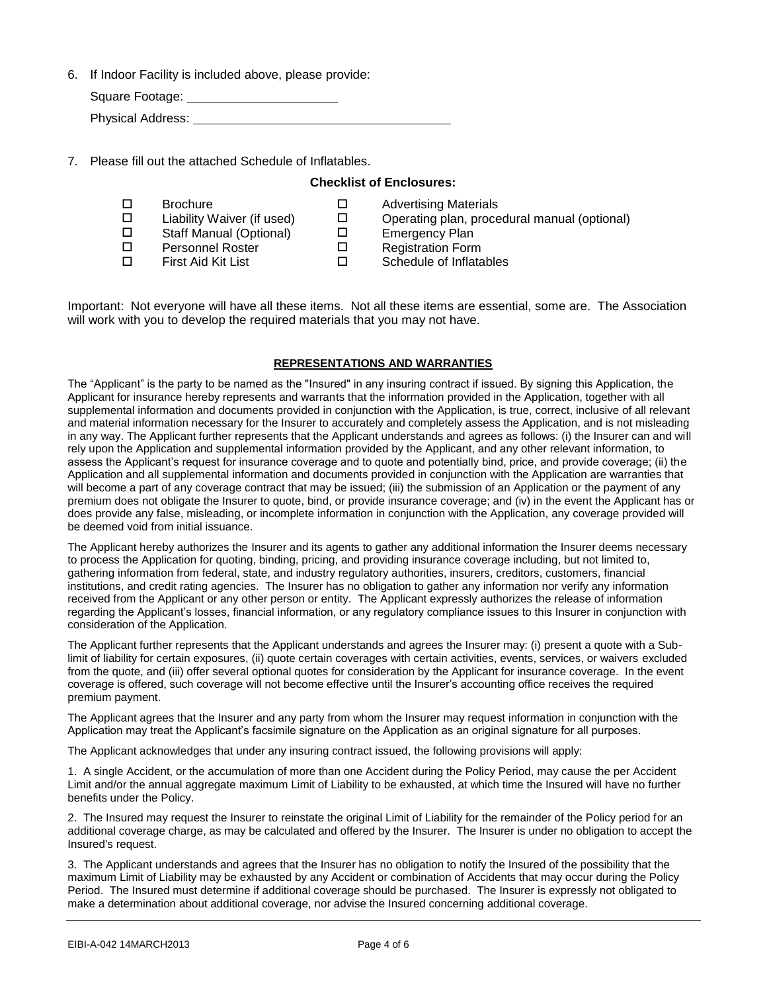6. If Indoor Facility is included above, please provide:

| Square Footage:          |  |
|--------------------------|--|
| <b>Physical Address:</b> |  |

7. Please fill out the attached Schedule of Inflatables.

#### **Checklist of Enclosures:**

 $\square$  Brochure  $\square$  Advertising Materials  $\square$  Liability Waiver (if used)  $\square$  Operating plan, procedural manual (optional) □ Staff Manual (Optional) □ Emergency Plan □ Personnel Roster □ Registration Form  $\square$  First Aid Kit List  $\square$  Schedule of Inflatables

Important: Not everyone will have all these items. Not all these items are essential, some are. The Association will work with you to develop the required materials that you may not have.

#### **REPRESENTATIONS AND WARRANTIES**

The "Applicant" is the party to be named as the "Insured" in any insuring contract if issued. By signing this Application, the Applicant for insurance hereby represents and warrants that the information provided in the Application, together with all supplemental information and documents provided in conjunction with the Application, is true, correct, inclusive of all relevant and material information necessary for the Insurer to accurately and completely assess the Application, and is not misleading in any way. The Applicant further represents that the Applicant understands and agrees as follows: (i) the Insurer can and will rely upon the Application and supplemental information provided by the Applicant, and any other relevant information, to assess the Applicant's request for insurance coverage and to quote and potentially bind, price, and provide coverage; (ii) the Application and all supplemental information and documents provided in conjunction with the Application are warranties that will become a part of any coverage contract that may be issued; (iii) the submission of an Application or the payment of any premium does not obligate the Insurer to quote, bind, or provide insurance coverage; and (iv) in the event the Applicant has or does provide any false, misleading, or incomplete information in conjunction with the Application, any coverage provided will be deemed void from initial issuance.

The Applicant hereby authorizes the Insurer and its agents to gather any additional information the Insurer deems necessary to process the Application for quoting, binding, pricing, and providing insurance coverage including, but not limited to, gathering information from federal, state, and industry regulatory authorities, insurers, creditors, customers, financial institutions, and credit rating agencies. The Insurer has no obligation to gather any information nor verify any information received from the Applicant or any other person or entity. The Applicant expressly authorizes the release of information regarding the Applicant's losses, financial information, or any regulatory compliance issues to this Insurer in conjunction with consideration of the Application.

The Applicant further represents that the Applicant understands and agrees the Insurer may: (i) present a quote with a Sublimit of liability for certain exposures, (ii) quote certain coverages with certain activities, events, services, or waivers excluded from the quote, and (iii) offer several optional quotes for consideration by the Applicant for insurance coverage. In the event coverage is offered, such coverage will not become effective until the Insurer's accounting office receives the required premium payment.

The Applicant agrees that the Insurer and any party from whom the Insurer may request information in conjunction with the Application may treat the Applicant's facsimile signature on the Application as an original signature for all purposes.

The Applicant acknowledges that under any insuring contract issued, the following provisions will apply:

1. A single Accident, or the accumulation of more than one Accident during the Policy Period, may cause the per Accident Limit and/or the annual aggregate maximum Limit of Liability to be exhausted, at which time the Insured will have no further benefits under the Policy.

2. The Insured may request the Insurer to reinstate the original Limit of Liability for the remainder of the Policy period for an additional coverage charge, as may be calculated and offered by the Insurer. The Insurer is under no obligation to accept the Insured's request.

3. The Applicant understands and agrees that the Insurer has no obligation to notify the Insured of the possibility that the maximum Limit of Liability may be exhausted by any Accident or combination of Accidents that may occur during the Policy Period. The Insured must determine if additional coverage should be purchased. The Insurer is expressly not obligated to make a determination about additional coverage, nor advise the Insured concerning additional coverage.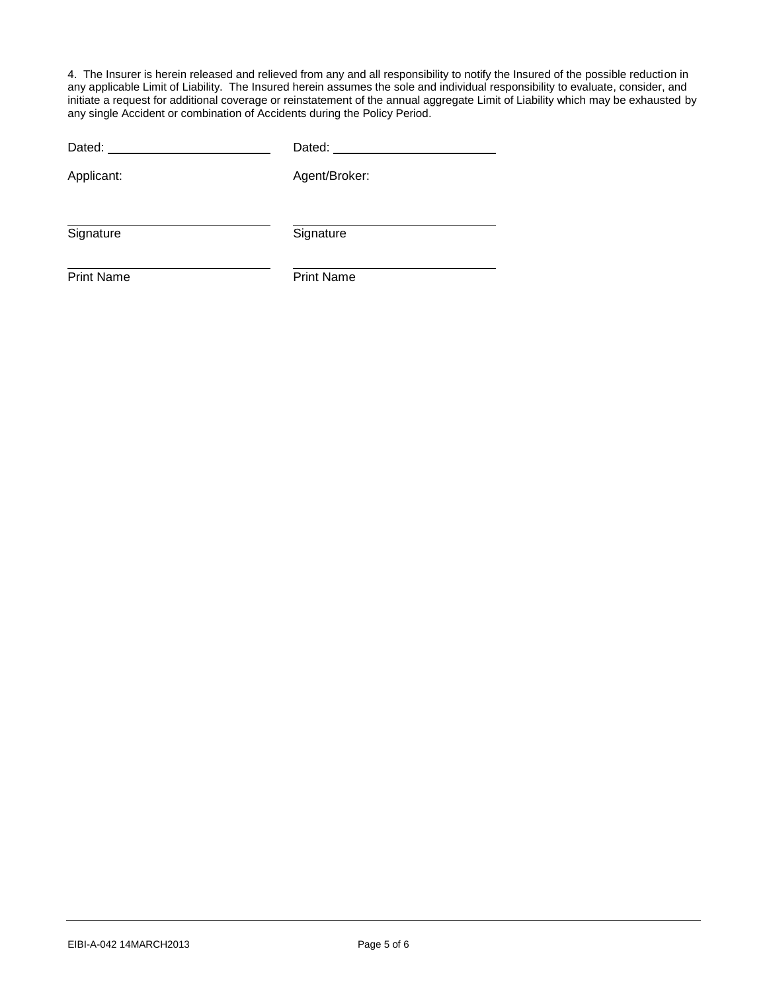4. The Insurer is herein released and relieved from any and all responsibility to notify the Insured of the possible reduction in any applicable Limit of Liability. The Insured herein assumes the sole and individual responsibility to evaluate, consider, and initiate a request for additional coverage or reinstatement of the annual aggregate Limit of Liability which may be exhausted by any single Accident or combination of Accidents during the Policy Period.

| Dated: ______     | Dated: ______     |
|-------------------|-------------------|
| Applicant:        | Agent/Broker:     |
|                   |                   |
| Signature         | Signature         |
| <b>Print Name</b> | <b>Print Name</b> |